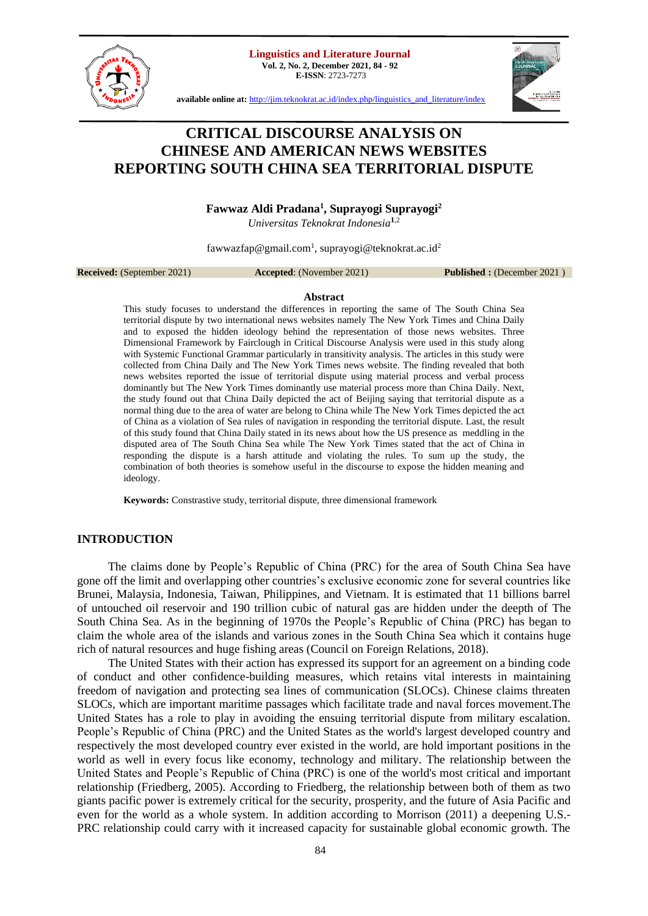**Linguistics and Literature Journal Vol. 2, No. 2, December 2021, 84 - 92**



**E-ISSN**: 2723-7273



**available online at:** [http://jim.teknokrat.ac.id/index.php/linguistics\\_and\\_literature/index](http://jim.teknokrat.ac.id/index.php/linguistics_and_literature/index)

# **CRITICAL DISCOURSE ANALYSIS ON CHINESE AND AMERICAN NEWS WEBSITES REPORTING SOUTH CHINA SEA TERRITORIAL DISPUTE**

## **Fawwaz Aldi Pradana<sup>1</sup> , Suprayogi Suprayogi<sup>2</sup>**

*Universitas Teknokrat Indonesia***<sup>1</sup>**,2

fawwazfap@gmail.com<sup>1</sup>, suprayogi@teknokrat.ac.id<sup>2</sup>

**Received:** (September 2021) **Accepted**: (November 2021) **Published :** (December 2021 )

## **Abstract**

This study focuses to understand the differences in reporting the same of The South China Sea territorial dispute by two international news websites namely The New York Times and China Daily and to exposed the hidden ideology behind the representation of those news websites. Three Dimensional Framework by Fairclough in Critical Discourse Analysis were used in this study along with Systemic Functional Grammar particularly in transitivity analysis. The articles in this study were collected from China Daily and The New York Times news website. The finding revealed that both news websites reported the issue of territorial dispute using material process and verbal process dominantly but The New York Times dominantly use material process more than China Daily. Next, the study found out that China Daily depicted the act of Beijing saying that territorial dispute as a normal thing due to the area of water are belong to China while The New York Times depicted the act of China as a violation of Sea rules of navigation in responding the territorial dispute. Last, the result of this study found that China Daily stated in its news about how the US presence as meddling in the disputed area of The South China Sea while The New York Times stated that the act of China in responding the dispute is a harsh attitude and violating the rules. To sum up the study, the combination of both theories is somehow useful in the discourse to expose the hidden meaning and ideology.

**Keywords:** Constrastive study, territorial dispute, three dimensional framework

## **INTRODUCTION**

The claims done by People's Republic of China (PRC) for the area of South China Sea have gone off the limit and overlapping other countries's exclusive economic zone for several countries like Brunei, Malaysia, Indonesia, Taiwan, Philippines, and Vietnam. It is estimated that 11 billions barrel of untouched oil reservoir and 190 trillion cubic of natural gas are hidden under the deepth of The South China Sea. As in the beginning of 1970s the People's Republic of China (PRC) has began to claim the whole area of the islands and various zones in the South China Sea which it contains huge rich of natural resources and huge fishing areas (Council on Foreign Relations, 2018).

The United States with their action has expressed its support for an agreement on a binding code of conduct and other confidence-building measures, which retains vital interests in maintaining freedom of navigation and protecting sea lines of communication (SLOCs). Chinese claims threaten SLOCs, which are important maritime passages which facilitate trade and naval forces movement.The United States has a role to play in avoiding the ensuing territorial dispute from military escalation. People's Republic of China (PRC) and the United States as the world's largest developed country and respectively the most developed country ever existed in the world, are hold important positions in the world as well in every focus like economy, technology and military. The relationship between the United States and People's Republic of China (PRC) is one of the world's most critical and important relationship (Friedberg, 2005). According to Friedberg, the relationship between both of them as two giants pacific power is extremely critical for the security, prosperity, and the future of Asia Pacific and even for the world as a whole system. In addition according to Morrison (2011) a deepening U.S.- PRC relationship could carry with it increased capacity for sustainable global economic growth. The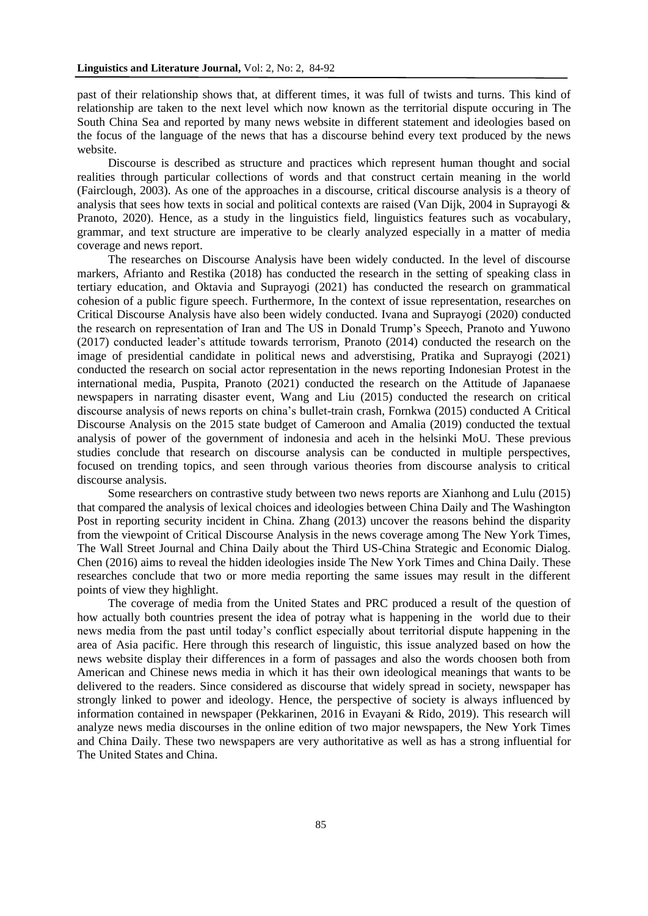past of their relationship shows that, at different times, it was full of twists and turns. This kind of relationship are taken to the next level which now known as the territorial dispute occuring in The South China Sea and reported by many news website in different statement and ideologies based on the focus of the language of the news that has a discourse behind every text produced by the news website.

Discourse is described as structure and practices which represent human thought and social realities through particular collections of words and that construct certain meaning in the world (Fairclough, 2003). As one of the approaches in a discourse, critical discourse analysis is a theory of analysis that sees how texts in social and political contexts are raised (Van Dijk, 2004 in Suprayogi  $\&$ Pranoto, 2020). Hence, as a study in the linguistics field, linguistics features such as vocabulary, grammar, and text structure are imperative to be clearly analyzed especially in a matter of media coverage and news report.

The researches on Discourse Analysis have been widely conducted. In the level of discourse markers, Afrianto and Restika (2018) has conducted the research in the setting of speaking class in tertiary education, and Oktavia and Suprayogi (2021) has conducted the research on grammatical cohesion of a public figure speech. Furthermore, In the context of issue representation, researches on Critical Discourse Analysis have also been widely conducted. Ivana and Suprayogi (2020) conducted the research on representation of Iran and The US in Donald Trump's Speech, Pranoto and Yuwono (2017) conducted leader's attitude towards terrorism, Pranoto (2014) conducted the research on the image of presidential candidate in political news and adverstising, Pratika and Suprayogi (2021) conducted the research on social actor representation in the news reporting Indonesian Protest in the international media, Puspita, Pranoto (2021) conducted the research on the Attitude of Japanaese newspapers in narrating disaster event, Wang and Liu (2015) conducted the research on critical discourse analysis of news reports on china's bullet-train crash, Fornkwa (2015) conducted A Critical Discourse Analysis on the 2015 state budget of Cameroon and Amalia (2019) conducted the textual analysis of power of the government of indonesia and aceh in the helsinki MoU. These previous studies conclude that research on discourse analysis can be conducted in multiple perspectives, focused on trending topics, and seen through various theories from discourse analysis to critical discourse analysis.

Some researchers on contrastive study between two news reports are Xianhong and Lulu (2015) that compared the analysis of lexical choices and ideologies between China Daily and The Washington Post in reporting security incident in China. Zhang (2013) uncover the reasons behind the disparity from the viewpoint of Critical Discourse Analysis in the news coverage among The New York Times, The Wall Street Journal and China Daily about the Third US-China Strategic and Economic Dialog. Chen (2016) aims to reveal the hidden ideologies inside The New York Times and China Daily. These researches conclude that two or more media reporting the same issues may result in the different points of view they highlight.

The coverage of media from the United States and PRC produced a result of the question of how actually both countries present the idea of potray what is happening in the world due to their news media from the past until today's conflict especially about territorial dispute happening in the area of Asia pacific. Here through this research of linguistic, this issue analyzed based on how the news website display their differences in a form of passages and also the words choosen both from American and Chinese news media in which it has their own ideological meanings that wants to be delivered to the readers. Since considered as discourse that widely spread in society, newspaper has strongly linked to power and ideology. Hence, the perspective of society is always influenced by information contained in newspaper (Pekkarinen, 2016 in Evayani & Rido, 2019). This research will analyze news media discourses in the online edition of two major newspapers, the New York Times and China Daily. These two newspapers are very authoritative as well as has a strong influential for The United States and China.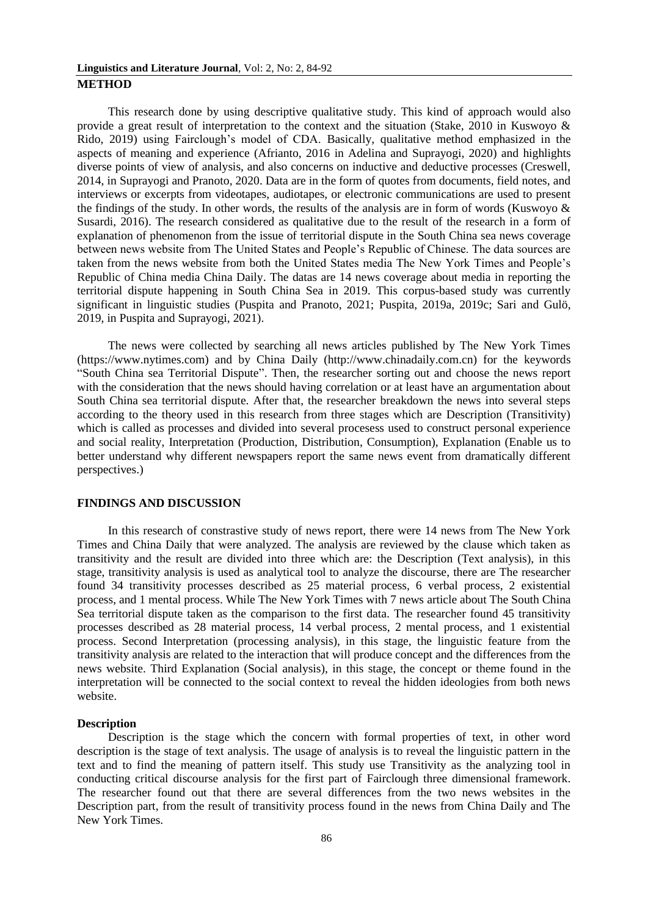This research done by using descriptive qualitative study. This kind of approach would also provide a great result of interpretation to the context and the situation (Stake, 2010 in Kuswoyo & Rido, 2019) using Fairclough's model of CDA. Basically, qualitative method emphasized in the aspects of meaning and experience (Afrianto, 2016 in Adelina and Suprayogi, 2020) and highlights diverse points of view of analysis, and also concerns on inductive and deductive processes (Creswell, 2014, in Suprayogi and Pranoto, 2020. Data are in the form of quotes from documents, field notes, and interviews or excerpts from videotapes, audiotapes, or electronic communications are used to present the findings of the study. In other words, the results of the analysis are in form of words (Kuswoyo & Susardi, 2016). The research considered as qualitative due to the result of the research in a form of explanation of phenomenon from the issue of territorial dispute in the South China sea news coverage between news website from The United States and People's Republic of Chinese. The data sources are taken from the news website from both the United States media The New York Times and People's Republic of China media China Daily. The datas are 14 news coverage about media in reporting the territorial dispute happening in South China Sea in 2019. This corpus-based study was currently significant in linguistic studies (Puspita and Pranoto, 2021; Puspita, 2019a, 2019c; Sari and Gulö, 2019, in Puspita and Suprayogi, 2021).

The news were collected by searching all news articles published by The New York Times (https://www.nytimes.com) and by China Daily (http://www.chinadaily.com.cn) for the keywords "South China sea Territorial Dispute". Then, the researcher sorting out and choose the news report with the consideration that the news should having correlation or at least have an argumentation about South China sea territorial dispute. After that, the researcher breakdown the news into several steps according to the theory used in this research from three stages which are Description (Transitivity) which is called as processes and divided into several procesess used to construct personal experience and social reality, Interpretation (Production, Distribution, Consumption), Explanation (Enable us to better understand why different newspapers report the same news event from dramatically different perspectives.)

#### **FINDINGS AND DISCUSSION**

In this research of constrastive study of news report, there were 14 news from The New York Times and China Daily that were analyzed. The analysis are reviewed by the clause which taken as transitivity and the result are divided into three which are: the Description (Text analysis), in this stage, transitivity analysis is used as analytical tool to analyze the discourse, there are The researcher found 34 transitivity processes described as 25 material process, 6 verbal process, 2 existential process, and 1 mental process. While The New York Times with 7 news article about The South China Sea territorial dispute taken as the comparison to the first data. The researcher found 45 transitivity processes described as 28 material process, 14 verbal process, 2 mental process, and 1 existential process. Second Interpretation (processing analysis), in this stage, the linguistic feature from the transitivity analysis are related to the interaction that will produce concept and the differences from the news website. Third Explanation (Social analysis), in this stage, the concept or theme found in the interpretation will be connected to the social context to reveal the hidden ideologies from both news website.

#### **Description**

Description is the stage which the concern with formal properties of text, in other word description is the stage of text analysis. The usage of analysis is to reveal the linguistic pattern in the text and to find the meaning of pattern itself. This study use Transitivity as the analyzing tool in conducting critical discourse analysis for the first part of Fairclough three dimensional framework. The researcher found out that there are several differences from the two news websites in the Description part, from the result of transitivity process found in the news from China Daily and The New York Times.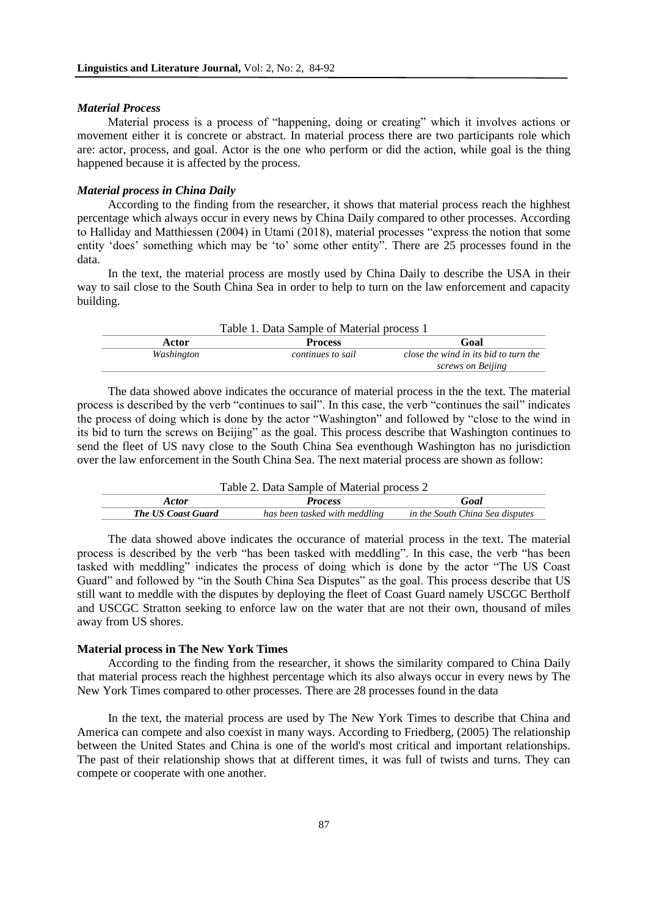#### *Material Process*

Material process is a process of "happening, doing or creating" which it involves actions or movement either it is concrete or abstract. In material process there are two participants role which are: actor, process, and goal. Actor is the one who perform or did the action, while goal is the thing happened because it is affected by the process.

## *Material process in China Daily*

According to the finding from the researcher, it shows that material process reach the highhest percentage which always occur in every news by China Daily compared to other processes. According to Halliday and Matthiessen (2004) in Utami (2018), material processes "express the notion that some entity 'does' something which may be 'to' some other entity". There are 25 processes found in the data.

In the text, the material process are mostly used by China Daily to describe the USA in their way to sail close to the South China Sea in order to help to turn on the law enforcement and capacity building.

| Table 1. Data Sample of Material process 1 |            |                   |                                       |
|--------------------------------------------|------------|-------------------|---------------------------------------|
|                                            | Actor      | <b>Process</b>    | Goal                                  |
|                                            | Washington | continues to sail | close the wind in its bid to turn the |
|                                            |            |                   | screws on Beijing                     |

The data showed above indicates the occurance of material process in the the text. The material process is described by the verb "continues to sail". In this case, the verb "continues the sail" indicates the process of doing which is done by the actor "Washington" and followed by "close to the wind in its bid to turn the screws on Beijing" as the goal. This process describe that Washington continues to send the fleet of US navy close to the South China Sea eventhough Washington has no jurisdiction over the law enforcement in the South China Sea. The next material process are shown as follow:

| Table 2. Data Sample of Material process 2 |                               |                                 |  |
|--------------------------------------------|-------------------------------|---------------------------------|--|
| <i>Actor</i>                               | <b>Process</b>                | Goal                            |  |
| <b>The US Coast Guard</b>                  | has been tasked with meddling | in the South China Sea disputes |  |

The data showed above indicates the occurance of material process in the text. The material process is described by the verb "has been tasked with meddling". In this case, the verb "has been tasked with meddling" indicates the process of doing which is done by the actor "The US Coast Guard" and followed by "in the South China Sea Disputes" as the goal. This process describe that US still want to meddle with the disputes by deploying the fleet of Coast Guard namely USCGC Bertholf and USCGC Stratton seeking to enforce law on the water that are not their own, thousand of miles away from US shores.

## **Material process in The New York Times**

According to the finding from the researcher, it shows the similarity compared to China Daily that material process reach the highhest percentage which its also always occur in every news by The New York Times compared to other processes. There are 28 processes found in the data

In the text, the material process are used by The New York Times to describe that China and America can compete and also coexist in many ways. According to Friedberg, (2005) The relationship between the United States and China is one of the world's most critical and important relationships. The past of their relationship shows that at different times, it was full of twists and turns. They can compete or cooperate with one another.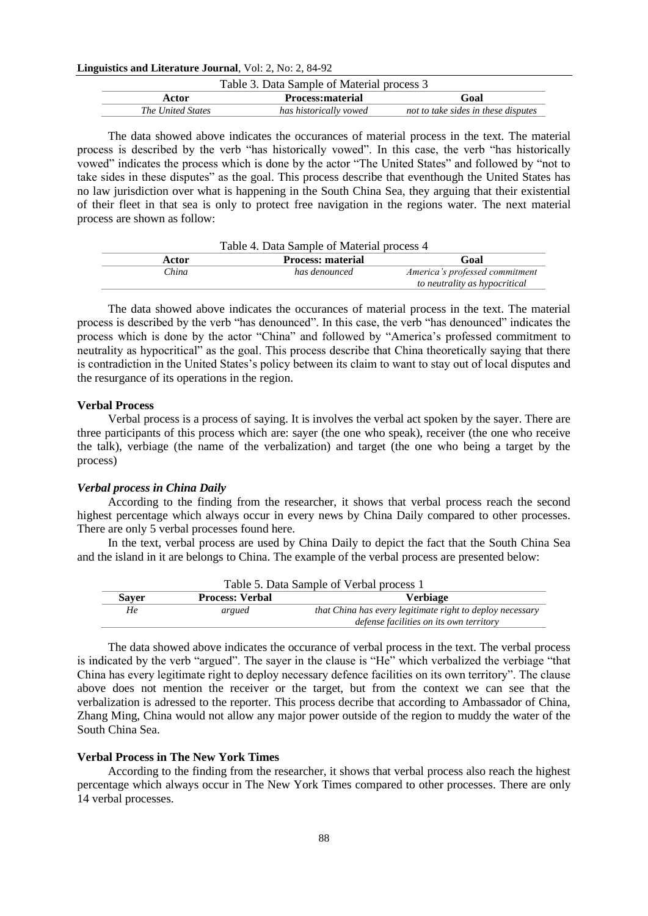## **Linguistics and Literature Journal**, Vol: 2, No: 2, 84-92

| Table 3. Data Sample of Material process 3 |                         |                                     |  |
|--------------------------------------------|-------------------------|-------------------------------------|--|
| Actor                                      | <b>Process:material</b> | Goal                                |  |
| The United States                          | has historically vowed  | not to take sides in these disputes |  |

The data showed above indicates the occurances of material process in the text. The material process is described by the verb "has historically vowed". In this case, the verb "has historically vowed" indicates the process which is done by the actor "The United States" and followed by "not to take sides in these disputes" as the goal. This process describe that eventhough the United States has no law jurisdiction over what is happening in the South China Sea, they arguing that their existential of their fleet in that sea is only to protect free navigation in the regions water. The next material process are shown as follow:

| Table 4. Data Sample of Material process 4 |                          |                                |  |
|--------------------------------------------|--------------------------|--------------------------------|--|
| Actor                                      | <b>Process: material</b> | Goal                           |  |
| China                                      | has denounced            | America's professed commitment |  |
|                                            |                          | to neutrality as hypocritical  |  |

The data showed above indicates the occurances of material process in the text. The material process is described by the verb "has denounced". In this case, the verb "has denounced" indicates the process which is done by the actor "China" and followed by "America's professed commitment to neutrality as hypocritical" as the goal. This process describe that China theoretically saying that there is contradiction in the United States's policy between its claim to want to stay out of local disputes and the resurgance of its operations in the region.

## **Verbal Process**

Verbal process is a process of saying. It is involves the verbal act spoken by the sayer. There are three participants of this process which are: sayer (the one who speak), receiver (the one who receive the talk), verbiage (the name of the verbalization) and target (the one who being a target by the process)

#### *Verbal process in China Daily*

According to the finding from the researcher, it shows that verbal process reach the second highest percentage which always occur in every news by China Daily compared to other processes. There are only 5 verbal processes found here.

In the text, verbal process are used by China Daily to depict the fact that the South China Sea and the island in it are belongs to China. The example of the verbal process are presented below:

| Table 5. Data Sample of Verbal process 1 |                        |                                                                                                      |  |
|------------------------------------------|------------------------|------------------------------------------------------------------------------------------------------|--|
| <b>Sayer</b>                             | <b>Process: Verbal</b> | Verbiage                                                                                             |  |
| He                                       | argued                 | that China has every legitimate right to deploy necessary<br>defense facilities on its own territory |  |

The data showed above indicates the occurance of verbal process in the text. The verbal process is indicated by the verb "argued". The sayer in the clause is "He" which verbalized the verbiage "that China has every legitimate right to deploy necessary defence facilities on its own territory". The clause above does not mention the receiver or the target, but from the context we can see that the verbalization is adressed to the reporter. This process decribe that according to Ambassador of China, Zhang Ming, China would not allow any major power outside of the region to muddy the water of the South China Sea.

## **Verbal Process in The New York Times**

According to the finding from the researcher, it shows that verbal process also reach the highest percentage which always occur in The New York Times compared to other processes. There are only 14 verbal processes.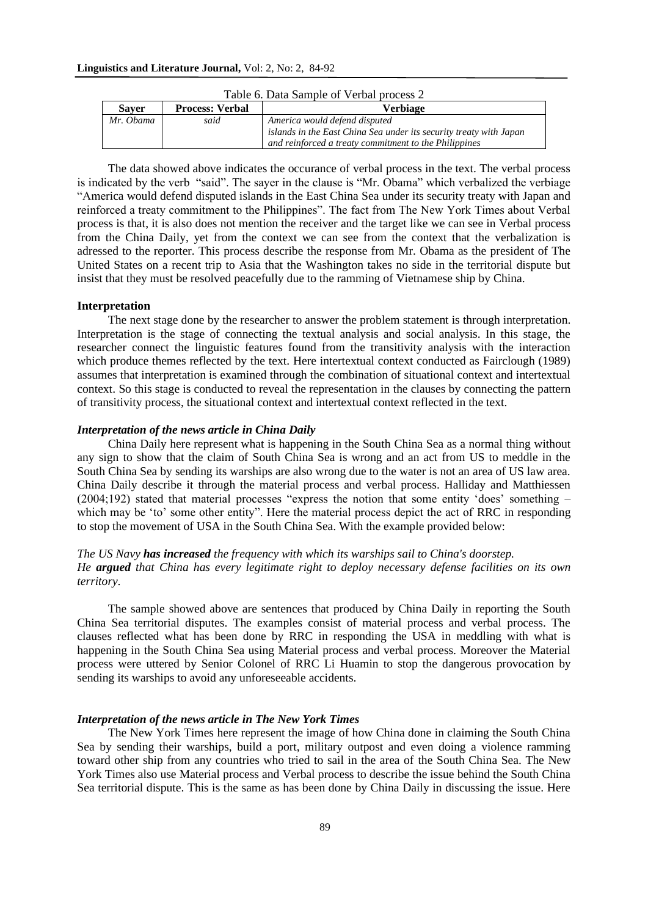| <b>Saver</b> | <b>Process: Verbal</b> | Verbiage                                                           |
|--------------|------------------------|--------------------------------------------------------------------|
| Mr. Obama    | said                   | America would defend disputed                                      |
|              |                        | islands in the East China Sea under its security treaty with Japan |
|              |                        | and reinforced a treaty commitment to the Philippines              |

| Table 6. Data Sample of Verbal process 2 |  |  |  |
|------------------------------------------|--|--|--|
|------------------------------------------|--|--|--|

The data showed above indicates the occurance of verbal process in the text. The verbal process is indicated by the verb "said". The sayer in the clause is "Mr. Obama" which verbalized the verbiage "America would defend disputed islands in the East China Sea under its security treaty with Japan and reinforced a treaty commitment to the Philippines". The fact from The New York Times about Verbal process is that, it is also does not mention the receiver and the target like we can see in Verbal process from the China Daily, yet from the context we can see from the context that the verbalization is adressed to the reporter. This process describe the response from Mr. Obama as the president of The United States on a recent trip to Asia that the Washington takes no side in the territorial dispute but insist that they must be resolved peacefully due to the ramming of Vietnamese ship by China.

## **Interpretation**

The next stage done by the researcher to answer the problem statement is through interpretation. Interpretation is the stage of connecting the textual analysis and social analysis. In this stage, the researcher connect the linguistic features found from the transitivity analysis with the interaction which produce themes reflected by the text. Here intertextual context conducted as Fairclough (1989) assumes that interpretation is examined through the combination of situational context and intertextual context. So this stage is conducted to reveal the representation in the clauses by connecting the pattern of transitivity process, the situational context and intertextual context reflected in the text.

## *Interpretation of the news article in China Daily*

China Daily here represent what is happening in the South China Sea as a normal thing without any sign to show that the claim of South China Sea is wrong and an act from US to meddle in the South China Sea by sending its warships are also wrong due to the water is not an area of US law area. China Daily describe it through the material process and verbal process. Halliday and Matthiessen (2004;192) stated that material processes "express the notion that some entity 'does' something – which may be 'to' some other entity". Here the material process depict the act of RRC in responding to stop the movement of USA in the South China Sea. With the example provided below:

## *The US Navy has increased the frequency with which its warships sail to China's doorstep. He argued that China has every legitimate right to deploy necessary defense facilities on its own territory.*

The sample showed above are sentences that produced by China Daily in reporting the South China Sea territorial disputes. The examples consist of material process and verbal process. The clauses reflected what has been done by RRC in responding the USA in meddling with what is happening in the South China Sea using Material process and verbal process. Moreover the Material process were uttered by Senior Colonel of RRC Li Huamin to stop the dangerous provocation by sending its warships to avoid any unforeseeable accidents.

#### *Interpretation of the news article in The New York Times*

The New York Times here represent the image of how China done in claiming the South China Sea by sending their warships, build a port, military outpost and even doing a violence ramming toward other ship from any countries who tried to sail in the area of the South China Sea. The New York Times also use Material process and Verbal process to describe the issue behind the South China Sea territorial dispute. This is the same as has been done by China Daily in discussing the issue. Here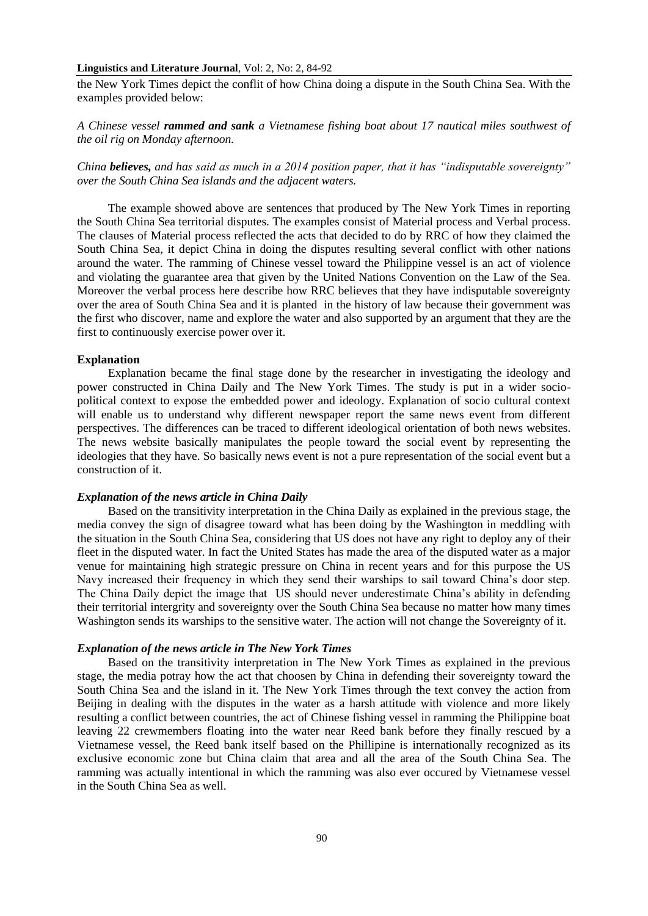## **Linguistics and Literature Journal**, Vol: 2, No: 2, 84-92

the New York Times depict the conflit of how China doing a dispute in the South China Sea. With the examples provided below:

*A Chinese vessel rammed and sank a Vietnamese fishing boat about 17 nautical miles southwest of the oil rig on Monday afternoon.*

*China believes, and has said as much in a 2014 position paper, that it has "indisputable sovereignty" over the South China Sea islands and the adjacent waters.*

The example showed above are sentences that produced by The New York Times in reporting the South China Sea territorial disputes. The examples consist of Material process and Verbal process. The clauses of Material process reflected the acts that decided to do by RRC of how they claimed the South China Sea, it depict China in doing the disputes resulting several conflict with other nations around the water. The ramming of Chinese vessel toward the Philippine vessel is an act of violence and violating the guarantee area that given by the United Nations Convention on the Law of the Sea. Moreover the verbal process here describe how RRC believes that they have indisputable sovereignty over the area of South China Sea and it is planted in the history of law because their government was the first who discover, name and explore the water and also supported by an argument that they are the first to continuously exercise power over it.

## **Explanation**

Explanation became the final stage done by the researcher in investigating the ideology and power constructed in China Daily and The New York Times. The study is put in a wider sociopolitical context to expose the embedded power and ideology. Explanation of socio cultural context will enable us to understand why different newspaper report the same news event from different perspectives. The differences can be traced to different ideological orientation of both news websites. The news website basically manipulates the people toward the social event by representing the ideologies that they have. So basically news event is not a pure representation of the social event but a construction of it.

## *Explanation of the news article in China Daily*

Based on the transitivity interpretation in the China Daily as explained in the previous stage, the media convey the sign of disagree toward what has been doing by the Washington in meddling with the situation in the South China Sea, considering that US does not have any right to deploy any of their fleet in the disputed water. In fact the United States has made the area of the disputed water as a major venue for maintaining high strategic pressure on China in recent years and for this purpose the US Navy increased their frequency in which they send their warships to sail toward China's door step. The China Daily depict the image that US should never underestimate China's ability in defending their territorial intergrity and sovereignty over the South China Sea because no matter how many times Washington sends its warships to the sensitive water. The action will not change the Sovereignty of it.

## *Explanation of the news article in The New York Times*

Based on the transitivity interpretation in The New York Times as explained in the previous stage, the media potray how the act that choosen by China in defending their sovereignty toward the South China Sea and the island in it. The New York Times through the text convey the action from Beijing in dealing with the disputes in the water as a harsh attitude with violence and more likely resulting a conflict between countries, the act of Chinese fishing vessel in ramming the Philippine boat leaving 22 crewmembers floating into the water near Reed bank before they finally rescued by a Vietnamese vessel, the Reed bank itself based on the Phillipine is internationally recognized as its exclusive economic zone but China claim that area and all the area of the South China Sea. The ramming was actually intentional in which the ramming was also ever occured by Vietnamese vessel in the South China Sea as well.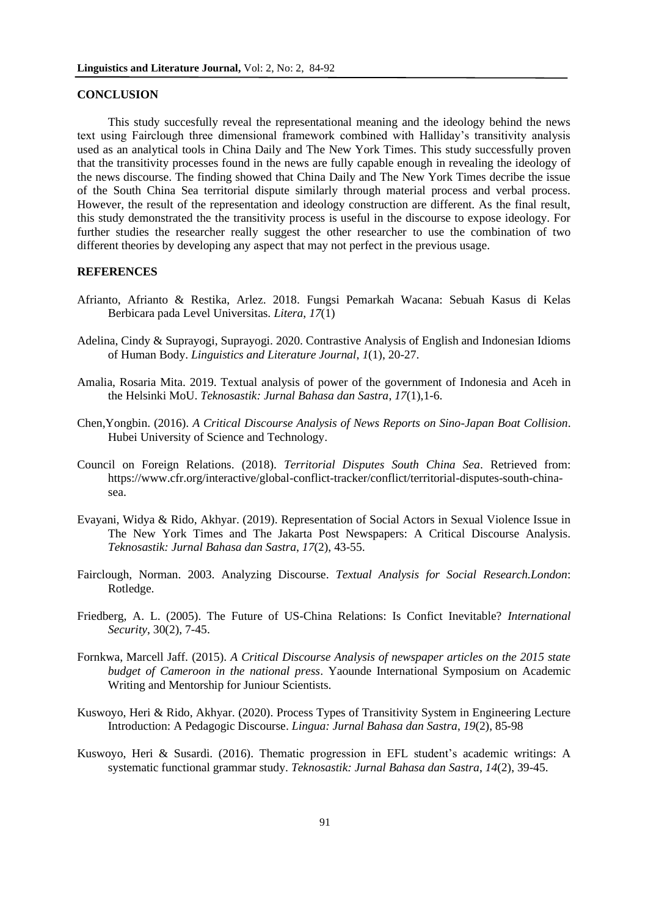## **CONCLUSION**

This study succesfully reveal the representational meaning and the ideology behind the news text using Fairclough three dimensional framework combined with Halliday's transitivity analysis used as an analytical tools in China Daily and The New York Times. This study successfully proven that the transitivity processes found in the news are fully capable enough in revealing the ideology of the news discourse. The finding showed that China Daily and The New York Times decribe the issue of the South China Sea territorial dispute similarly through material process and verbal process. However, the result of the representation and ideology construction are different. As the final result, this study demonstrated the the transitivity process is useful in the discourse to expose ideology. For further studies the researcher really suggest the other researcher to use the combination of two different theories by developing any aspect that may not perfect in the previous usage.

## **REFERENCES**

- Afrianto, Afrianto & Restika, Arlez. 2018. Fungsi Pemarkah Wacana: Sebuah Kasus di Kelas Berbicara pada Level Universitas. *Litera*, *17*(1)
- Adelina, Cindy & Suprayogi, Suprayogi. 2020. Contrastive Analysis of English and Indonesian Idioms of Human Body. *Linguistics and Literature Journal*, *1*(1), 20-27.
- Amalia, Rosaria Mita. 2019. Textual analysis of power of the government of Indonesia and Aceh in the Helsinki MoU. *Teknosastik: Jurnal Bahasa dan Sastra*, *17*(1),1-6.
- Chen,Yongbin. (2016). *A Critical Discourse Analysis of News Reports on Sino-Japan Boat Collision*. Hubei University of Science and Technology.
- Council on Foreign Relations. (2018). *Territorial Disputes South China Sea*. Retrieved from: [https://www.cfr.org/interactive/global-conflict-tracker/conflict/territorial-disputes-south-china](https://www.cfr.org/interactive/global-conflict-tracker/conflict/territorial-disputes-south-china-sea)[sea.](https://www.cfr.org/interactive/global-conflict-tracker/conflict/territorial-disputes-south-china-sea)
- Evayani, Widya & Rido, Akhyar. (2019). Representation of Social Actors in Sexual Violence Issue in The New York Times and The Jakarta Post Newspapers: A Critical Discourse Analysis. *Teknosastik: Jurnal Bahasa dan Sastra*, *17*(2), 43-55.
- Fairclough, Norman. 2003. Analyzing Discourse. *Textual Analysis for Social Research.London*: Rotledge.
- Friedberg, A. L. (2005). The Future of US-China Relations: Is Confict Inevitable? *International Security*, 30(2), 7-45.
- Fornkwa, Marcell Jaff. (2015). *A Critical Discourse Analysis of newspaper articles on the 2015 state budget of Cameroon in the national press*. Yaounde International Symposium on Academic Writing and Mentorship for Juniour Scientists.
- Kuswoyo, Heri & Rido, Akhyar. (2020). Process Types of Transitivity System in Engineering Lecture Introduction: A Pedagogic Discourse. *Lingua: Jurnal Bahasa dan Sastra*, *19*(2), 85-98
- Kuswoyo, Heri & Susardi. (2016). Thematic progression in EFL student's academic writings: A systematic functional grammar study. *Teknosastik: Jurnal Bahasa dan Sastra*, *14*(2), 39-45.